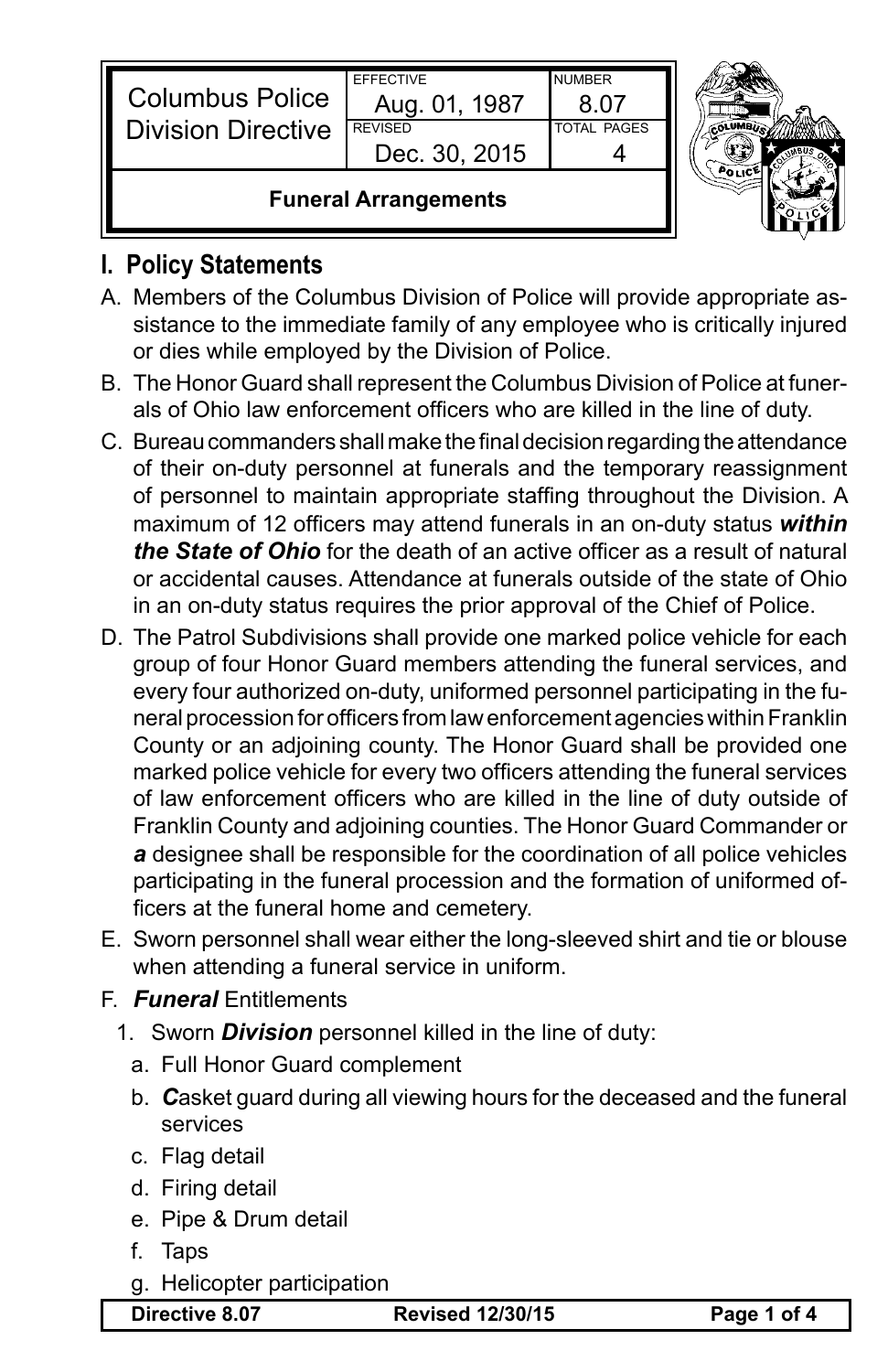|                                                     | Dec. 30, 2015<br><b>Funeral Arrangements</b> |                    |  |
|-----------------------------------------------------|----------------------------------------------|--------------------|--|
| <b>Columbus Police</b><br><b>Division Directive</b> | <b>REVISED</b>                               | <b>TOTAL PAGES</b> |  |
|                                                     | Aug. 01, 1987                                |                    |  |
|                                                     | <b>EFFECTIVE</b>                             | <b>NUMBER</b>      |  |



## **I. Policy Statements**

- A. Members of the Columbus Division of Police will provide appropriate assistance to the immediate family of any employee who is critically injured or dies while employed by the Division of Police.
- B. The Honor Guard shall represent the Columbus Division of Police at funerals of Ohio law enforcement officers who are killed in the line of duty.
- C. Bureau commanders shall make the final decision regarding the attendance of their on-duty personnel at funerals and the temporary reassignment of personnel to maintain appropriate staffing throughout the Division. A maximum of 12 officers may attend funerals in an on-duty status *within the State of Ohio* for the death of an active officer as a result of natural or accidental causes. Attendance at funerals outside of the state of Ohio in an on-duty status requires the prior approval of the Chief of Police.
- D. The Patrol Subdivisions shall provide one marked police vehicle for each group of four Honor Guard members attending the funeral services, and every four authorized on-duty, uniformed personnel participating in the funeral procession for officers from law enforcement agencies within Franklin County or an adjoining county. The Honor Guard shall be provided one marked police vehicle for every two officers attending the funeral services of law enforcement officers who are killed in the line of duty outside of Franklin County and adjoining counties. The Honor Guard Commander or *a* designee shall be responsible for the coordination of all police vehicles participating in the funeral procession and the formation of uniformed officers at the funeral home and cemetery.
- E. Sworn personnel shall wear either the long-sleeved shirt and tie or blouse when attending a funeral service in uniform.
- F. *Funeral* Entitlements
	- 1. Sworn *Division* personnel killed in the line of duty:
		- a. Full Honor Guard complement
		- b. *C*asket guard during all viewing hours for the deceased and the funeral services
		- c. Flag detail
		- d. Firing detail
		- e. Pipe & Drum detail
		- f. Taps
		- g. Helicopter participation

**Directive 8.07 Revised 12/30/15 Page 1 of 4**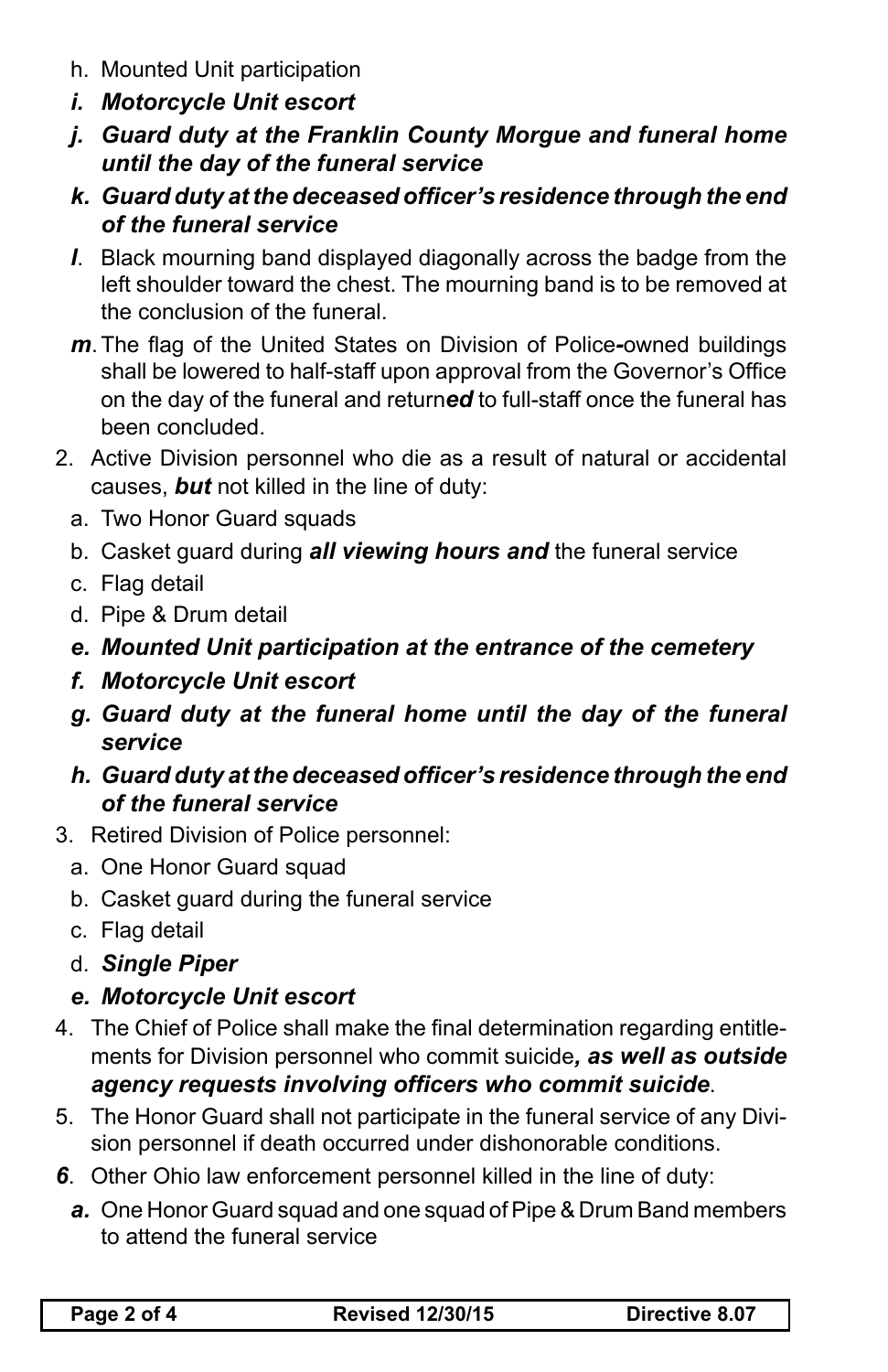- h. Mounted Unit participation
- *i. Motorcycle Unit escort*
- *j. Guard duty at the Franklin County Morgue and funeral home until the day of the funeral service*
- *k. Guard duty at the deceased officer's residence through the end of the funeral service*
- *l*. Black mourning band displayed diagonally across the badge from the left shoulder toward the chest. The mourning band is to be removed at the conclusion of the funeral.
- *m*.The flag of the United States on Division of Police*-*owned buildings shall be lowered to half-staff upon approval from the Governor's Office on the day of the funeral and return*ed* to full-staff once the funeral has been concluded.
- 2. Active Division personnel who die as a result of natural or accidental causes, *but* not killed in the line of duty:
	- a. Two Honor Guard squads
	- b. Casket guard during *all viewing hours and* the funeral service
	- c. Flag detail
	- d. Pipe & Drum detail
	- *e. Mounted Unit participation at the entrance of the cemetery*
	- *f. Motorcycle Unit escort*
	- *g. Guard duty at the funeral home until the day of the funeral service*
	- *h. Guard duty at the deceased officer's residence through the end of the funeral service*
- 3. Retired Division of Police personnel:
	- a. One Honor Guard squad
	- b. Casket guard during the funeral service
	- c. Flag detail
	- d. *Single Piper*
	- *e. Motorcycle Unit escort*
- 4. The Chief of Police shall make the final determination regarding entitlements for Division personnel who commit suicide*, as well as outside agency requests involving officers who commit suicide*.
- 5. The Honor Guard shall not participate in the funeral service of any Division personnel if death occurred under dishonorable conditions.
- *6*. Other Ohio law enforcement personnel killed in the line of duty:
	- *a.* One Honor Guard squad and one squad of Pipe & Drum Band members to attend the funeral service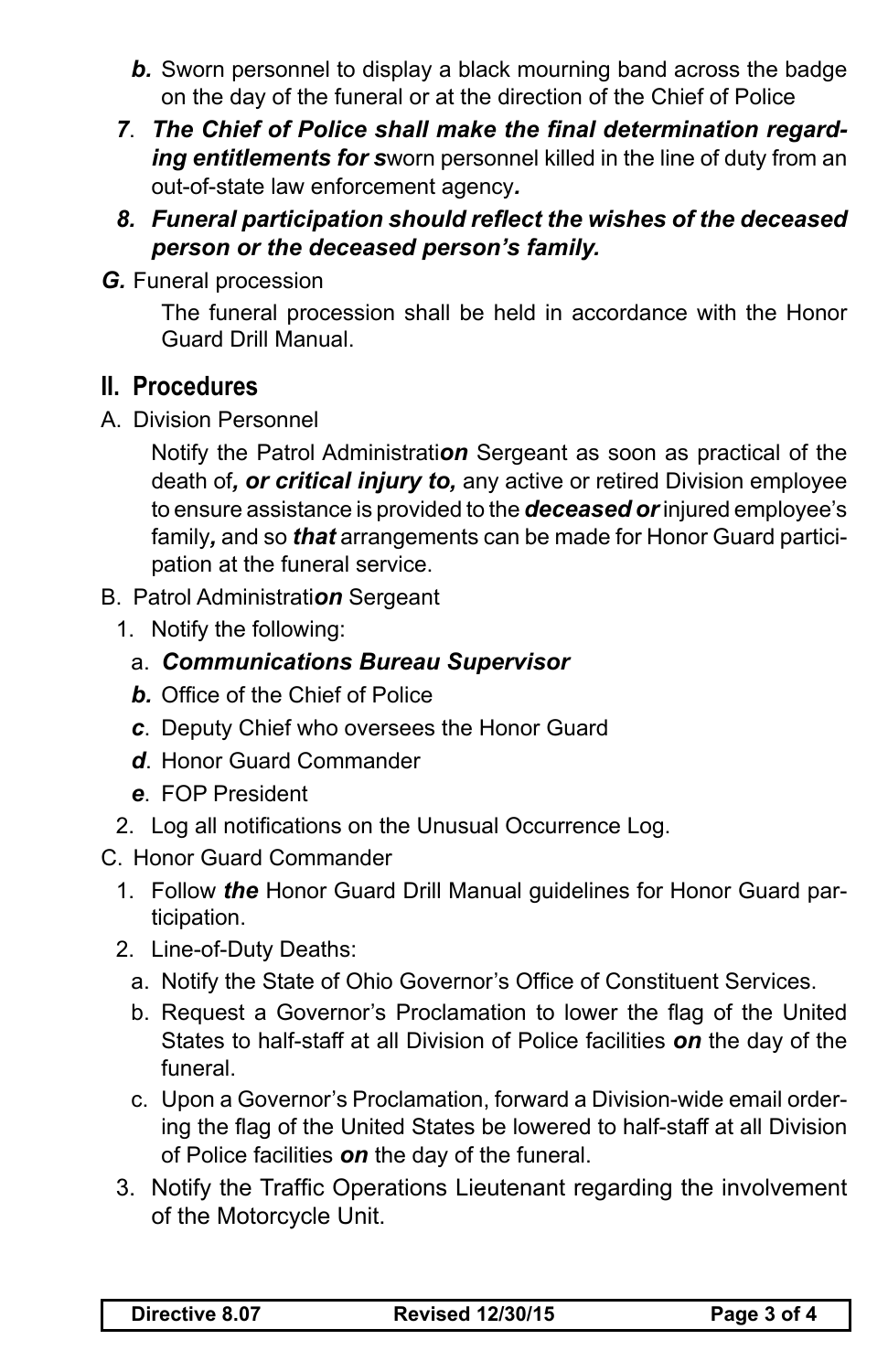- *b.* Sworn personnel to display a black mourning band across the badge on the day of the funeral or at the direction of the Chief of Police
- *7*. *The Chief of Police shall make the final determination regarding entitlements for s*worn personnel killed in the line of duty from an out-of-state law enforcement agency*.*
- *8. Funeral participation should reflect the wishes of the deceased person or the deceased person's family.*
- *G.* Funeral procession

The funeral procession shall be held in accordance with the Honor Guard Drill Manual.

## **II. Procedures**

A. Division Personnel

Notify the Patrol Administrati*on* Sergeant as soon as practical of the death of*, or critical injury to,* any active or retired Division employee to ensure assistance is provided to the *deceased or* injured employee's family*,* and so *that* arrangements can be made for Honor Guard participation at the funeral service.

- B. Patrol Administrati*on* Sergeant
	- 1. Notify the following:
		- a. *Communications Bureau Supervisor*
		- *b.* Office of the Chief of Police
		- *c*. Deputy Chief who oversees the Honor Guard
		- *d*. Honor Guard Commander
		- *e*. FOP President
	- 2. Log all notifications on the Unusual Occurrence Log.
- C. Honor Guard Commander
	- 1. Follow *the* Honor Guard Drill Manual guidelines for Honor Guard participation.
	- 2. Line-of-Duty Deaths:
		- a. Notify the State of Ohio Governor's Office of Constituent Services.
		- b. Request a Governor's Proclamation to lower the flag of the United States to half-staff at all Division of Police facilities *on* the day of the funeral.
		- c. Upon a Governor's Proclamation, forward a Division-wide email ordering the flag of the United States be lowered to half-staff at all Division of Police facilities *on* the day of the funeral.
	- 3. Notify the Traffic Operations Lieutenant regarding the involvement of the Motorcycle Unit.